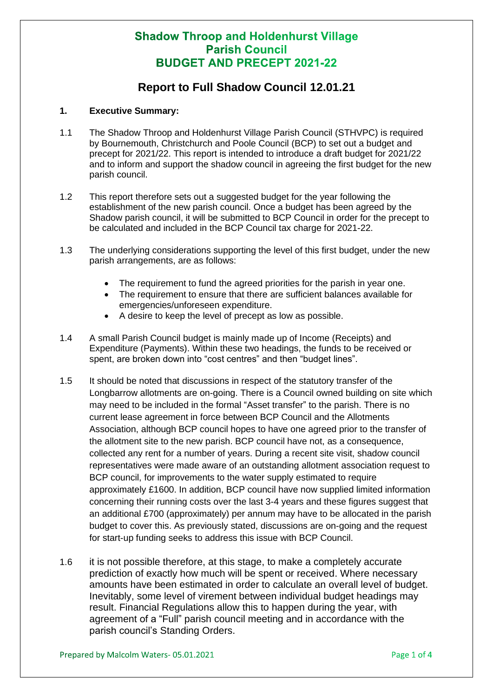## **Shadow Throop and Holdenhurst Village Parish Council BUDGET AND PRECEPT 2021-22**

## **Report to Full Shadow Council 12.01.21**

### **1. Executive Summary:**

- 1.1 The Shadow Throop and Holdenhurst Village Parish Council (STHVPC) is required by Bournemouth, Christchurch and Poole Council (BCP) to set out a budget and precept for 2021/22. This report is intended to introduce a draft budget for 2021/22 and to inform and support the shadow council in agreeing the first budget for the new parish council.
- 1.2 This report therefore sets out a suggested budget for the year following the establishment of the new parish council. Once a budget has been agreed by the Shadow parish council, it will be submitted to BCP Council in order for the precept to be calculated and included in the BCP Council tax charge for 2021-22.
- 1.3 The underlying considerations supporting the level of this first budget, under the new parish arrangements, are as follows:
	- The requirement to fund the agreed priorities for the parish in year one.
	- The requirement to ensure that there are sufficient balances available for emergencies/unforeseen expenditure.
	- A desire to keep the level of precept as low as possible.
- 1.4 A small Parish Council budget is mainly made up of Income (Receipts) and Expenditure (Payments). Within these two headings, the funds to be received or spent, are broken down into "cost centres" and then "budget lines".
- 1.5 It should be noted that discussions in respect of the statutory transfer of the Longbarrow allotments are on-going. There is a Council owned building on site which may need to be included in the formal "Asset transfer" to the parish. There is no current lease agreement in force between BCP Council and the Allotments Association, although BCP council hopes to have one agreed prior to the transfer of the allotment site to the new parish. BCP council have not, as a consequence, collected any rent for a number of years. During a recent site visit, shadow council representatives were made aware of an outstanding allotment association request to BCP council, for improvements to the water supply estimated to require approximately £1600. In addition, BCP council have now supplied limited information concerning their running costs over the last 3-4 years and these figures suggest that an additional £700 (approximately) per annum may have to be allocated in the parish budget to cover this. As previously stated, discussions are on-going and the request for start-up funding seeks to address this issue with BCP Council.
- 1.6 it is not possible therefore, at this stage, to make a completely accurate prediction of exactly how much will be spent or received. Where necessary amounts have been estimated in order to calculate an overall level of budget. Inevitably, some level of virement between individual budget headings may result. Financial Regulations allow this to happen during the year, with agreement of a "Full" parish council meeting and in accordance with the parish council's Standing Orders.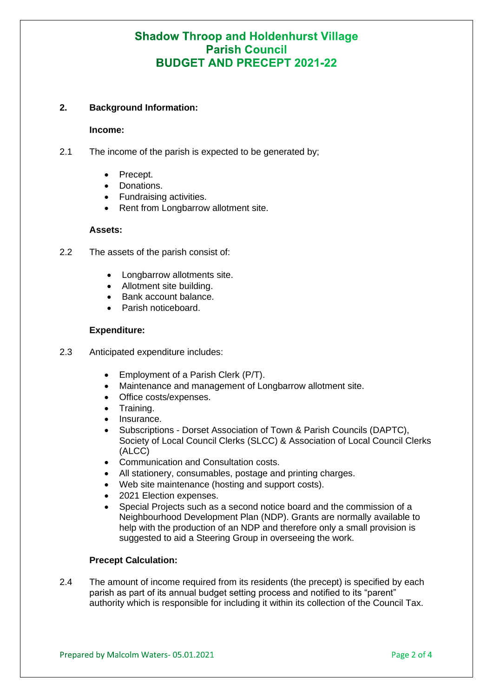# **Shadow Throop and Holdenhurst Village Parish Council BUDGET AND PRECEPT 2021-22**

### **2. Background Information:**

#### **Income:**

- 2.1 The income of the parish is expected to be generated by;
	- Precept.
	- Donations.
	- Fundraising activities.
	- Rent from Longbarrow allotment site.

### **Assets:**

- 2.2 The assets of the parish consist of:
	- Longbarrow allotments site.
	- Allotment site building.
	- Bank account balance.
	- Parish noticeboard.

### **Expenditure:**

- 2.3 Anticipated expenditure includes:
	- Employment of a Parish Clerk (P/T).
	- Maintenance and management of Longbarrow allotment site.
	- Office costs/expenses.
	- Training.
	- Insurance.
	- Subscriptions Dorset Association of Town & Parish Councils (DAPTC), Society of Local Council Clerks (SLCC) & Association of Local Council Clerks (ALCC)
	- Communication and Consultation costs.
	- All stationery, consumables, postage and printing charges.
	- Web site maintenance (hosting and support costs).
	- 2021 Election expenses.
	- Special Projects such as a second notice board and the commission of a Neighbourhood Development Plan (NDP). Grants are normally available to help with the production of an NDP and therefore only a small provision is suggested to aid a Steering Group in overseeing the work.

## **Precept Calculation:**

2.4 The amount of income required from its residents (the precept) is specified by each parish as part of its annual budget setting process and notified to its "parent" authority which is responsible for including it within its collection of the Council Tax.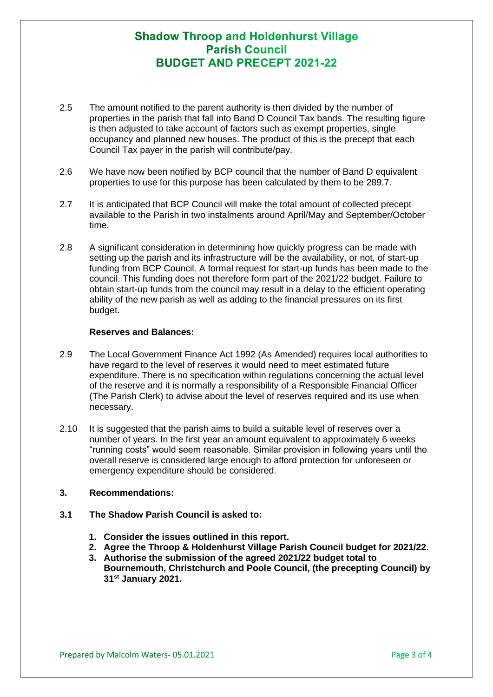# **Shadow Throop and Holdenhurst Village Parish Council RUDGET AND PRECEPT 2021-22**

- 2.5 The amount notified to the parent authority is then divided by the number of properties in the parish that fall into Band D Council Tax bands. The resulting figure is then adjusted to take account of factors such as exempt properties, single occupancy and planned new houses. The product of this is the precept that each Council Tax payer in the parish will contribute/pay.
- 2.6 We have now been notified by BCP council that the number of Band D equivalent properties to use for this purpose has been calculated by them to be 289.7.
- 2.7 It is anticipated that BCP Council will make the total amount of collected precept available to the Parish in two instalments around April/May and September/October time.
- 2.8 A significant consideration in determining how quickly progress can be made with setting up the parish and its infrastructure will be the availability, or not, of start-up funding from BCP Council. A formal request for start-up funds has been made to the council. This funding does not therefore form part of the 2021/22 budget. Failure to obtain start-up funds from the council may result in a delay to the efficient operating ability of the new parish as well as adding to the financial pressures on its first budget.

#### **Reserves and Balances:**

- 2.9 The Local Government Finance Act 1992 (As Amended) requires local authorities to have regard to the level of reserves it would need to meet estimated future expenditure. There is no specification within regulations concerning the actual level of the reserve and it is normally a responsibility of a Responsible Financial Officer (The Parish Clerk) to advise about the level of reserves required and its use when necessary.
- 2.10 It is suggested that the parish aims to build a suitable level of reserves over a number of years. In the first year an amount equivalent to approximately 6 weeks "running costs" would seem reasonable. Similar provision in following years until the overall reserve is considered large enough to afford protection for unforeseen or emergency expenditure should be considered.

### **3. Recommendations:**

- **3.1 The Shadow Parish Council is asked to:**
	- **1. Consider the issues outlined in this report.**
	- **2. Agree the Throop & Holdenhurst Village Parish Council budget for 2021/22.**
	- **3. Authorise the submission of the agreed 2021/22 budget total to Bournemouth, Christchurch and Poole Council, (the precepting Council) by 31st January 2021.**